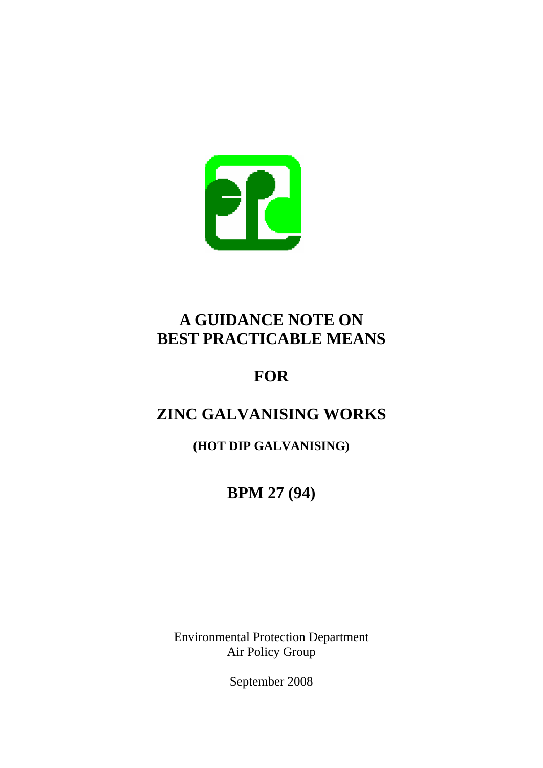

## **A GUIDANCE NOTE ON BEST PRACTICABLE MEANS**

# **FOR**

# **ZINC GALVANISING WORKS**

**(HOT DIP GALVANISING)** 

**BPM 27 (94)** 

Environmental Protection Department Air Policy Group

September 2008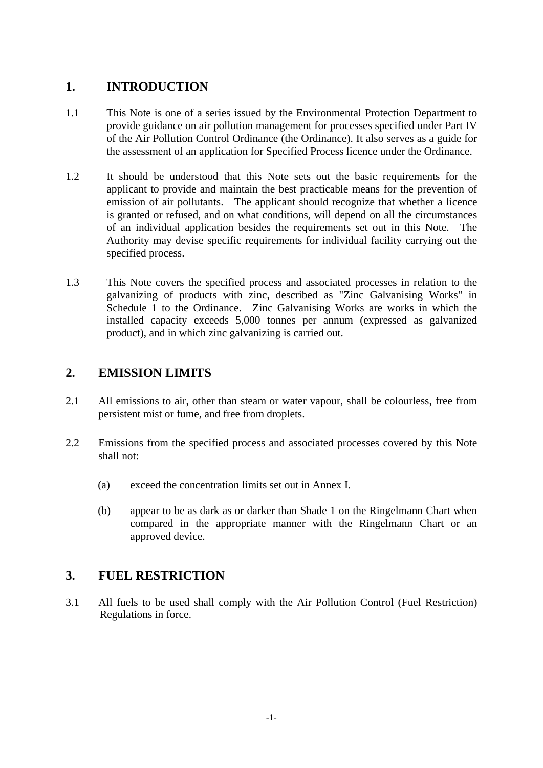## **1. INTRODUCTION**

- 1.1 This Note is one of a series issued by the Environmental Protection Department to provide guidance on air pollution management for processes specified under Part IV of the Air Pollution Control Ordinance (the Ordinance). It also serves as a guide for the assessment of an application for Specified Process licence under the Ordinance.
- 1.2 It should be understood that this Note sets out the basic requirements for the applicant to provide and maintain the best practicable means for the prevention of emission of air pollutants. The applicant should recognize that whether a licence is granted or refused, and on what conditions, will depend on all the circumstances of an individual application besides the requirements set out in this Note. The Authority may devise specific requirements for individual facility carrying out the specified process.
- 1.3 This Note covers the specified process and associated processes in relation to the galvanizing of products with zinc, described as "Zinc Galvanising Works" in Schedule 1 to the Ordinance. Zinc Galvanising Works are works in which the installed capacity exceeds 5,000 tonnes per annum (expressed as galvanized product), and in which zinc galvanizing is carried out.

## **2. EMISSION LIMITS**

- 2.1 All emissions to air, other than steam or water vapour, shall be colourless, free from persistent mist or fume, and free from droplets.
- 2.2 Emissions from the specified process and associated processes covered by this Note shall not:
	- (a) exceed the concentration limits set out in Annex I.
	- (b) appear to be as dark as or darker than Shade 1 on the Ringelmann Chart when compared in the appropriate manner with the Ringelmann Chart or an approved device.

## **3. FUEL RESTRICTION**

3.1 All fuels to be used shall comply with the Air Pollution Control (Fuel Restriction) Regulations in force.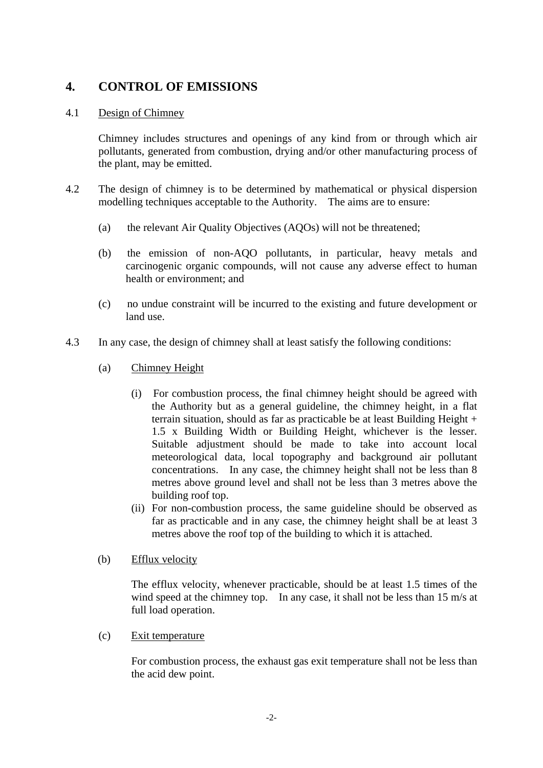## **4. CONTROL OF EMISSIONS**

#### 4.1 Design of Chimney

Chimney includes structures and openings of any kind from or through which air pollutants, generated from combustion, drying and/or other manufacturing process of the plant, may be emitted.

- 4.2 The design of chimney is to be determined by mathematical or physical dispersion modelling techniques acceptable to the Authority. The aims are to ensure:
	- (a) the relevant Air Quality Objectives (AQOs) will not be threatened;
	- (b) the emission of non-AQO pollutants, in particular, heavy metals and carcinogenic organic compounds, will not cause any adverse effect to human health or environment; and
	- (c) no undue constraint will be incurred to the existing and future development or land use.
- 4.3 In any case, the design of chimney shall at least satisfy the following conditions:
	- (a) Chimney Height
		- (i) For combustion process, the final chimney height should be agreed with the Authority but as a general guideline, the chimney height, in a flat terrain situation, should as far as practicable be at least Building Height + x Building Width or Building Height, whichever is the lesser. 1.5 Suitable adjustment should be made to take into account local meteorological data, local topography and background air pollutant concentrations. In any case, the chimney height shall not be less than 8 metres above ground level and shall not be less than 3 metres above the building roof top.
		- (ii) For non-combustion process, the same guideline should be observed as far as practicable and in any case, the chimney height shall be at least 3 metres above the roof top of the building to which it is attached.
	- (b) Efflux velocity

The efflux velocity, whenever practicable, should be at least 1.5 times of the wind speed at the chimney top. In any case, it shall not be less than 15 m/s at full load operation.

(c) Exit temperature

For combustion process, the exhaust gas exit temperature shall not be less than the acid dew point.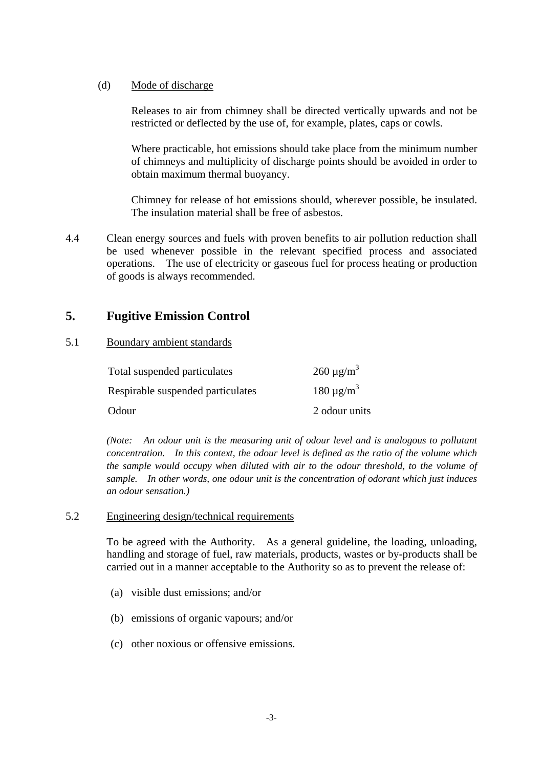#### (d) Mode of discharge

Releases to air from chimney shall be directed vertically upwards and not be restricted or deflected by the use of, for example, plates, caps or cowls.

Where practicable, hot emissions should take place from the minimum number of chimneys and multiplicity of discharge points should be avoided in order to obtain maximum thermal buoyancy.

Chimney for release of hot emissions should, wherever possible, be insulated. The insulation material shall be free of asbestos.

4.4 Clean energy sources and fuels with proven benefits to air pollution reduction shall be used whenever possible in the relevant specified process and associated operations. The use of electricity or gaseous fuel for process heating or production of goods is always recommended.

### **5. Fugitive Emission Control**

#### 5.1 Boundary ambient standards

| Total suspended particulates      | $260 \mu g/m3$  |
|-----------------------------------|-----------------|
| Respirable suspended particulates | $180 \mu g/m^3$ |
| Odour                             | 2 odour units   |

*(Note: An odour unit is the measuring unit of odour level and is analogous to pollutant concentration. In this context, the odour level is defined as the ratio of the volume which the sample would occupy when diluted with air to the odour threshold, to the volume of sample. In other words, one odour unit is the concentration of odorant which just induces an odour sensation.)* 

#### 5.2 Engineering design/technical requirements

To be agreed with the Authority. As a general guideline, the loading, unloading, handling and storage of fuel, raw materials, products, wastes or by-products shall be carried out in a manner acceptable to the Authority so as to prevent the release of:

- (a) visible dust emissions; and/or
- (b) emissions of organic vapours; and/or
- (c) other noxious or offensive emissions.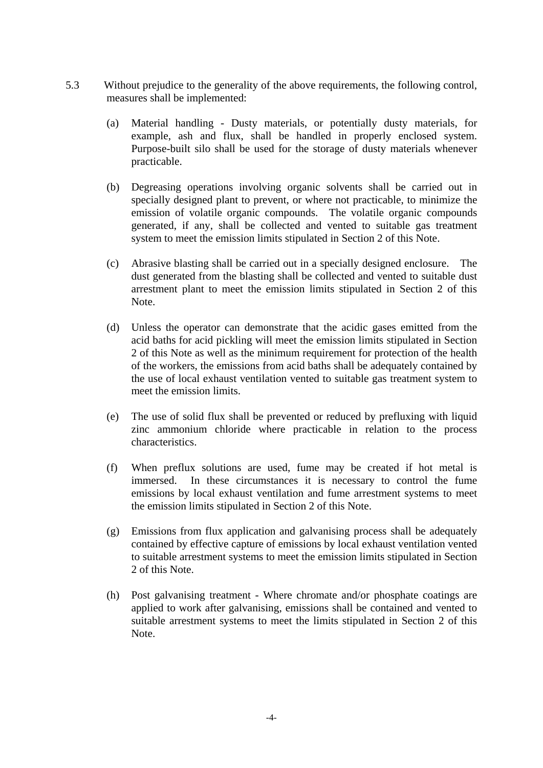- 5.3 Without prejudice to the generality of the above requirements, the following control, measures shall be implemented:
	- (a) Material handling Dusty materials, or potentially dusty materials, for example, ash and flux, shall be handled in properly enclosed system. Purpose-built silo shall be used for the storage of dusty materials whenever practicable.
	- (b) Degreasing operations involving organic solvents shall be carried out in specially designed plant to prevent, or where not practicable, to minimize the emission of volatile organic compounds. The volatile organic compounds generated, if any, shall be collected and vented to suitable gas treatment system to meet the emission limits stipulated in Section 2 of this Note.
	- (c) Abrasive blasting shall be carried out in a specially designed enclosure. The dust generated from the blasting shall be collected and vented to suitable dust arrestment plant to meet the emission limits stipulated in Section 2 of this Note.
	- (d) Unless the operator can demonstrate that the acidic gases emitted from the acid baths for acid pickling will meet the emission limits stipulated in Section 2 of this Note as well as the minimum requirement for protection of the health of the workers, the emissions from acid baths shall be adequately contained by the use of local exhaust ventilation vented to suitable gas treatment system to meet the emission limits.
	- (e) The use of solid flux shall be prevented or reduced by prefluxing with liquid zinc ammonium chloride where practicable in relation to the process characteristics.
	- (f) When preflux solutions are used, fume may be created if hot metal is immersed. In these circumstances it is necessary to control the fume emissions by local exhaust ventilation and fume arrestment systems to meet the emission limits stipulated in Section 2 of this Note.
	- (g) Emissions from flux application and galvanising process shall be adequately contained by effective capture of emissions by local exhaust ventilation vented to suitable arrestment systems to meet the emission limits stipulated in Section 2 of this Note.
	- (h) Post galvanising treatment Where chromate and/or phosphate coatings are applied to work after galvanising, emissions shall be contained and vented to suitable arrestment systems to meet the limits stipulated in Section 2 of this Note.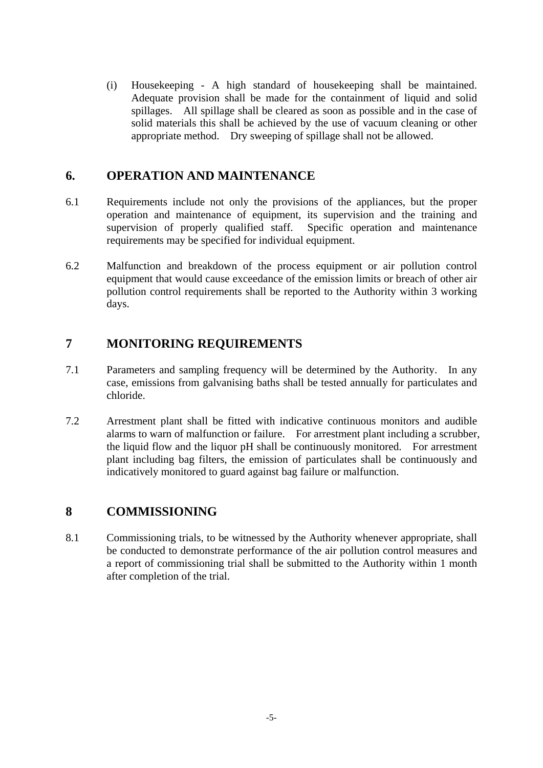(i) Housekeeping - A high standard of housekeeping shall be maintained. Adequate provision shall be made for the containment of liquid and solid spillages. All spillage shall be cleared as soon as possible and in the case of solid materials this shall be achieved by the use of vacuum cleaning or other appropriate method. Dry sweeping of spillage shall not be allowed.

### **6. OPERATION AND MAINTENANCE**

- 6.1 Requirements include not only the provisions of the appliances, but the proper operation and maintenance of equipment, its supervision and the training and supervision of properly qualified staff. Specific operation and maintenance requirements may be specified for individual equipment.
- 6.2 Malfunction and breakdown of the process equipment or air pollution control equipment that would cause exceedance of the emission limits or breach of other air pollution control requirements shall be reported to the Authority within 3 working days.

## **7 MONITORING REQUIREMENTS**

- 7.1 Parameters and sampling frequency will be determined by the Authority. In any case, emissions from galvanising baths shall be tested annually for particulates and chloride.
- 7.2 Arrestment plant shall be fitted with indicative continuous monitors and audible alarms to warn of malfunction or failure. For arrestment plant including a scrubber, the liquid flow and the liquor pH shall be continuously monitored. For arrestment plant including bag filters, the emission of particulates shall be continuously and indicatively monitored to guard against bag failure or malfunction.

## **8 COMMISSIONING**

8.1 Commissioning trials, to be witnessed by the Authority whenever appropriate, shall be conducted to demonstrate performance of the air pollution control measures and a report of commissioning trial shall be submitted to the Authority within 1 month after completion of the trial.